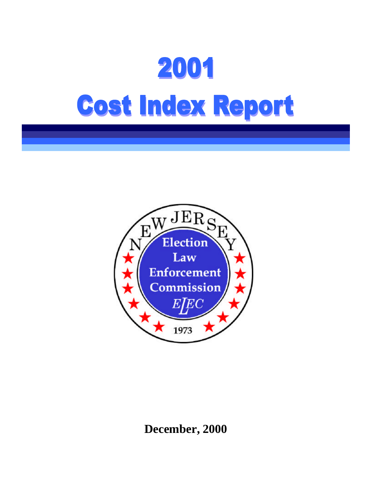

**December, 2000**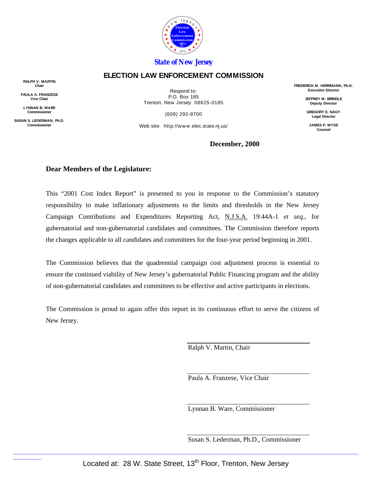

#### *State of New Jersey*

#### **ELECTION LAW ENFORCEMENT COMMISSION**

**RALPH V. MARTIN Chair**

**PAULA A. FRANZESE Vice Chair**

**LYNNAN B. WARE Commissioner**

**SUSAN S. LEDERMAN, Ph.D. Commissioner**

\_\_\_\_\_\_\_\_\_\_\_\_

Respond to: P.O. Box 185 Trenton, New Jersey 08625-0185

(609) 292-8700

Web site: http://www.elec.state.nj.us/

**FREDERICK M. HERRMANN, Ph.D. Executive Director**

> **JEFFREY M. BRINDLE Deputy Director**

**GREGORY E. NAGY Legal Director**

**JAMES P. WYSE Counsel**

#### **December, 2000**

#### **Dear Members of the Legislature:**

This "2001 Cost Index Report" is presented to you in response to the Commission's statutory responsibility to make inflationary adjustments to the limits and thresholds in the New Jersey Campaign Contributions and Expenditures Reporting Act, N.J.S.A. 19:44A-1 *et seq*., for gubernatorial and non-gubernatorial candidates and committees. The Commission therefore reports the changes applicable to all candidates and committees for the four-year period beginning in 2001.

The Commission believes that the quadrennial campaign cost adjustment process is essential to ensure the continued viability of New Jersey's gubernatorial Public Financing program and the ability of non-gubernatorial candidates and committees to be effective and active participants in elections.

The Commission is proud to again offer this report in its continuous effort to serve the citizens of New Jersey.

Ralph V. Martin, Chair

Paula A. Franzese, Vice Chair

Lynnan B. Ware, Commissioner

Susan S. Lederman, Ph.D., Commissioner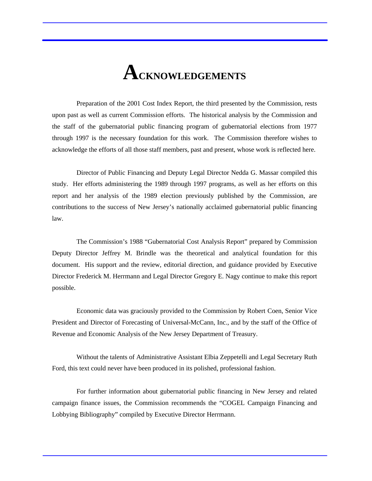### **ACKNOWLEDGEMENTS**

Preparation of the 2001 Cost Index Report, the third presented by the Commission, rests upon past as well as current Commission efforts. The historical analysis by the Commission and the staff of the gubernatorial public financing program of gubernatorial elections from 1977 through 1997 is the necessary foundation for this work. The Commission therefore wishes to acknowledge the efforts of all those staff members, past and present, whose work is reflected here.

Director of Public Financing and Deputy Legal Director Nedda G. Massar compiled this study. Her efforts administering the 1989 through 1997 programs, as well as her efforts on this report and her analysis of the 1989 election previously published by the Commission, are contributions to the success of New Jersey's nationally acclaimed gubernatorial public financing law.

The Commission's 1988 "Gubernatorial Cost Analysis Report" prepared by Commission Deputy Director Jeffrey M. Brindle was the theoretical and analytical foundation for this document. His support and the review, editorial direction, and guidance provided by Executive Director Frederick M. Herrmann and Legal Director Gregory E. Nagy continue to make this report possible.

Economic data was graciously provided to the Commission by Robert Coen, Senior Vice President and Director of Forecasting of Universal-McCann, Inc., and by the staff of the Office of Revenue and Economic Analysis of the New Jersey Department of Treasury.

Without the talents of Administrative Assistant Elbia Zeppetelli and Legal Secretary Ruth Ford, this text could never have been produced in its polished, professional fashion.

For further information about gubernatorial public financing in New Jersey and related campaign finance issues, the Commission recommends the "COGEL Campaign Financing and Lobbying Bibliography" compiled by Executive Director Herrmann.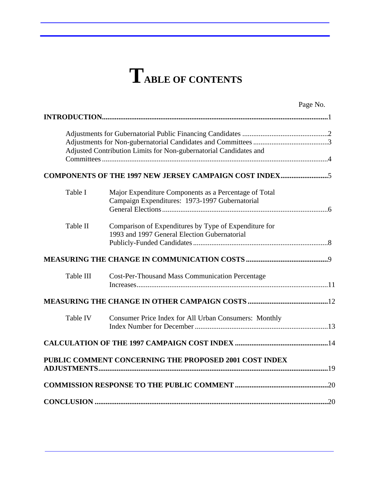## **TABLE OF CONTENTS**

|           |                                                                                                         | Page No. |
|-----------|---------------------------------------------------------------------------------------------------------|----------|
|           |                                                                                                         |          |
|           | Adjusted Contribution Limits for Non-gubernatorial Candidates and                                       |          |
|           | COMPONENTS OF THE 1997 NEW JERSEY CAMPAIGN COST INDEX5                                                  |          |
| Table I   | Major Expenditure Components as a Percentage of Total<br>Campaign Expenditures: 1973-1997 Gubernatorial |          |
| Table II  | Comparison of Expenditures by Type of Expenditure for<br>1993 and 1997 General Election Gubernatorial   |          |
|           |                                                                                                         |          |
| Table III | <b>Cost-Per-Thousand Mass Communication Percentage</b>                                                  |          |
|           |                                                                                                         |          |
| Table IV  | Consumer Price Index for All Urban Consumers: Monthly                                                   |          |
|           |                                                                                                         |          |
|           | PUBLIC COMMENT CONCERNING THE PROPOSED 2001 COST INDEX                                                  |          |
|           |                                                                                                         |          |
|           |                                                                                                         |          |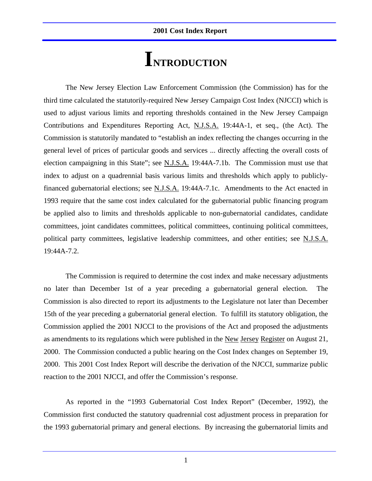### **INTRODUCTION**

The New Jersey Election Law Enforcement Commission (the Commission) has for the third time calculated the statutorily-required New Jersey Campaign Cost Index (NJCCI) which is used to adjust various limits and reporting thresholds contained in the New Jersey Campaign Contributions and Expenditures Reporting Act, N.J.S.A. 19:44A-1, et seq., (the Act). The Commission is statutorily mandated to "establish an index reflecting the changes occurring in the general level of prices of particular goods and services ... directly affecting the overall costs of election campaigning in this State"; see N.J.S.A. 19:44A-7.1b. The Commission must use that index to adjust on a quadrennial basis various limits and thresholds which apply to publiclyfinanced gubernatorial elections; see N.J.S.A. 19:44A-7.1c. Amendments to the Act enacted in 1993 require that the same cost index calculated for the gubernatorial public financing program be applied also to limits and thresholds applicable to non-gubernatorial candidates, candidate committees, joint candidates committees, political committees, continuing political committees, political party committees, legislative leadership committees, and other entities; see N.J.S.A. 19:44A-7.2.

The Commission is required to determine the cost index and make necessary adjustments no later than December 1st of a year preceding a gubernatorial general election. The Commission is also directed to report its adjustments to the Legislature not later than December 15th of the year preceding a gubernatorial general election. To fulfill its statutory obligation, the Commission applied the 2001 NJCCI to the provisions of the Act and proposed the adjustments as amendments to its regulations which were published in the New Jersey Register on August 21, 2000. The Commission conducted a public hearing on the Cost Index changes on September 19, 2000. This 2001 Cost Index Report will describe the derivation of the NJCCI, summarize public reaction to the 2001 NJCCI, and offer the Commission's response.

As reported in the "1993 Gubernatorial Cost Index Report" (December, 1992), the Commission first conducted the statutory quadrennial cost adjustment process in preparation for the 1993 gubernatorial primary and general elections. By increasing the gubernatorial limits and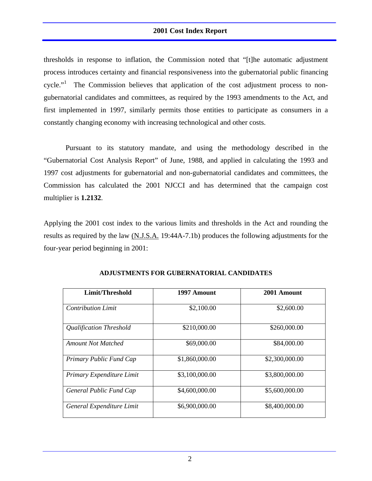thresholds in response to inflation, the Commission noted that "[t]he automatic adjustment process introduces certainty and financial responsiveness into the gubernatorial public financing cycle."<sup>1</sup> The Commission believes that application of the cost adjustment process to nongubernatorial candidates and committees, as required by the 1993 amendments to the Act, and first implemented in 1997, similarly permits those entities to participate as consumers in a constantly changing economy with increasing technological and other costs.

Pursuant to its statutory mandate, and using the methodology described in the "Gubernatorial Cost Analysis Report" of June, 1988, and applied in calculating the 1993 and 1997 cost adjustments for gubernatorial and non-gubernatorial candidates and committees, the Commission has calculated the 2001 NJCCI and has determined that the campaign cost multiplier is **1.2132**.

Applying the 2001 cost index to the various limits and thresholds in the Act and rounding the results as required by the law (N.J.S.A. 19:44A-7.1b) produces the following adjustments for the four-year period beginning in 2001:

| Limit/Threshold           | 1997 Amount    | 2001 Amount    |
|---------------------------|----------------|----------------|
| <b>Contribution Limit</b> | \$2,100.00     | \$2,600.00     |
| Qualification Threshold   | \$210,000.00   | \$260,000.00   |
| <b>Amount Not Matched</b> | \$69,000.00    | \$84,000.00    |
| Primary Public Fund Cap   | \$1,860,000.00 | \$2,300,000.00 |
| Primary Expenditure Limit | \$3,100,000.00 | \$3,800,000.00 |
| General Public Fund Cap   | \$4,600,000.00 | \$5,600,000.00 |
| General Expenditure Limit | \$6,900,000.00 | \$8,400,000.00 |

#### **ADJUSTMENTS FOR GUBERNATORIAL CANDIDATES**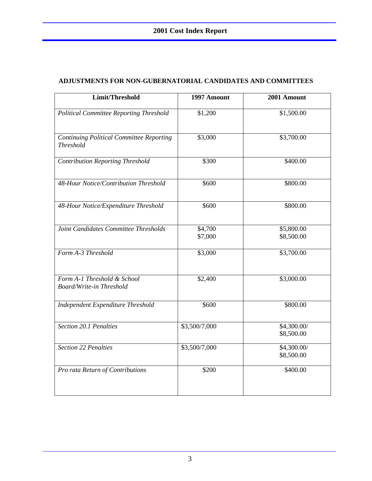| Limit/Threshold                                                     | 1997 Amount        | 2001 Amount               |
|---------------------------------------------------------------------|--------------------|---------------------------|
| Political Committee Reporting Threshold                             | \$1,200            | \$1,500.00                |
| <b>Continuing Political Committee Reporting</b><br><b>Threshold</b> | \$3,000            | \$3,700.00                |
| <b>Contribution Reporting Threshold</b>                             | \$300              | \$400.00                  |
| 48-Hour Notice/Contribution Threshold                               | \$600              | \$800.00                  |
| 48-Hour Notice/Expenditure Threshold                                | \$600              | \$800.00                  |
| Joint Candidates Committee Thresholds                               | \$4,700<br>\$7,000 | \$5,800.00<br>\$8,500.00  |
| Form A-3 Threshold                                                  | \$3,000            | \$3,700.00                |
| Form A-1 Threshold & School<br><b>Board/Write-in Threshold</b>      | \$2,400            | \$3,000.00                |
| Independent Expenditure Threshold                                   | \$600              | \$800.00                  |
| Section 20.1 Penalties                                              | \$3,500/7,000      | \$4,300.00/<br>\$8,500.00 |
| <b>Section 22 Penalties</b>                                         | \$3,500/7,000      | \$4,300.00/<br>\$8,500.00 |
| Pro rata Return of Contributions                                    | \$200              | \$400.00                  |

#### **ADJUSTMENTS FOR NON-GUBERNATORIAL CANDIDATES AND COMMITTEES**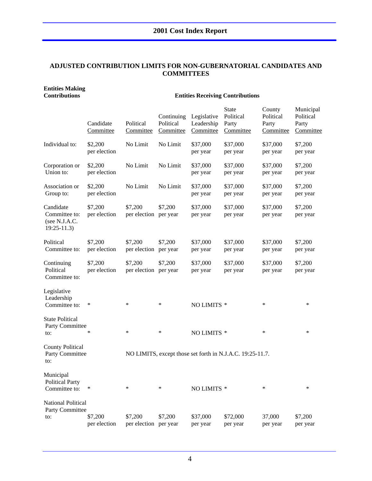#### **ADJUSTED CONTRIBUTION LIMITS FOR NON-GUBERNATORIAL CANDIDATES AND COMMITTEES**

### **Entities Making**

#### **Contributions Entities Receiving Contributions**

|                                                             | Candidate<br>Committee  | Political<br>Committee           | Continuing<br>Political<br>Committee | Legislative<br>Leadership<br>Committee | <b>State</b><br>Political<br>Party<br>Committee           | County<br>Political<br>Party<br>Committee | Municipal<br>Political<br>Party<br>Committee |
|-------------------------------------------------------------|-------------------------|----------------------------------|--------------------------------------|----------------------------------------|-----------------------------------------------------------|-------------------------------------------|----------------------------------------------|
| Individual to:                                              | \$2,200<br>per election | No Limit                         | No Limit                             | \$37,000<br>per year                   | \$37,000<br>per year                                      | \$37,000<br>per year                      | \$7,200<br>per year                          |
| Corporation or<br>Union to:                                 | \$2,200<br>per election | No Limit                         | No Limit                             | \$37,000<br>per year                   | \$37,000<br>per year                                      | \$37,000<br>per year                      | \$7,200<br>per year                          |
| Association or<br>Group to:                                 | \$2,200<br>per election | No Limit                         | No Limit                             | \$37,000<br>per year                   | \$37,000<br>per year                                      | \$37,000<br>per year                      | \$7,200<br>per year                          |
| Candidate<br>Committee to:<br>(see N.J.A.C.<br>$19:25-11.3$ | \$7,200<br>per election | \$7,200<br>per election per year | \$7,200                              | \$37,000<br>per year                   | \$37,000<br>per year                                      | \$37,000<br>per year                      | \$7,200<br>per year                          |
| Political<br>Committee to:                                  | \$7,200<br>per election | \$7,200<br>per election          | \$7,200<br>per year                  | \$37,000<br>per year                   | \$37,000<br>per year                                      | \$37,000<br>per year                      | \$7,200<br>per year                          |
| Continuing<br>Political<br>Committee to:                    | \$7,200<br>per election | \$7,200<br>per election per year | \$7,200                              | \$37,000<br>per year                   | \$37,000<br>per year                                      | \$37,000<br>per year                      | \$7,200<br>per year                          |
| Legislative<br>Leadership<br>Committee to:                  | $\ast$                  | ∗                                | $\ast$                               | NO LIMITS *                            |                                                           | $\ast$                                    | $\ast$                                       |
| <b>State Political</b><br>Party Committee<br>to:            | ∗                       | $\ast$                           | $\ast$                               | NO LIMITS *                            |                                                           | $\ast$                                    | $\ast$                                       |
| <b>County Political</b><br>Party Committee<br>to:           |                         |                                  |                                      |                                        | NO LIMITS, except those set forth in N.J.A.C. 19:25-11.7. |                                           |                                              |
| Municipal<br><b>Political Party</b><br>Committee to:        | $\ast$                  | ∗                                | ∗                                    | NO LIMITS *                            |                                                           | ∗                                         | ∗                                            |
| National Political<br>Party Committee<br>to:                | \$7,200<br>per election | \$7,200<br>per election per year | \$7,200                              | \$37,000<br>per year                   | \$72,000<br>per year                                      | 37,000<br>per year                        | \$7,200<br>per year                          |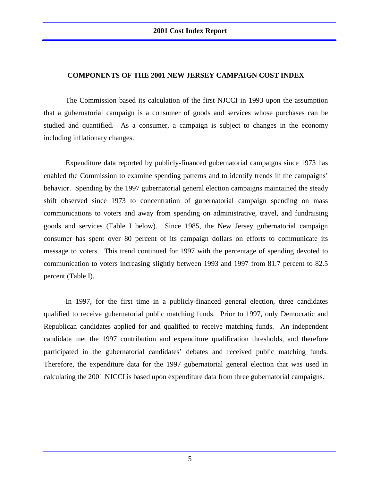#### **COMPONENTS OF THE 2001 NEW JERSEY CAMPAIGN COST INDEX**

The Commission based its calculation of the first NJCCI in 1993 upon the assumption that a gubernatorial campaign is a consumer of goods and services whose purchases can be studied and quantified. As a consumer, a campaign is subject to changes in the economy including inflationary changes.

Expenditure data reported by publicly-financed gubernatorial campaigns since 1973 has enabled the Commission to examine spending patterns and to identify trends in the campaigns' behavior. Spending by the 1997 gubernatorial general election campaigns maintained the steady shift observed since 1973 to concentration of gubernatorial campaign spending on mass communications to voters and away from spending on administrative, travel, and fundraising goods and services (Table I below). Since 1985, the New Jersey gubernatorial campaign consumer has spent over 80 percent of its campaign dollars on efforts to communicate its message to voters. This trend continued for 1997 with the percentage of spending devoted to communication to voters increasing slightly between 1993 and 1997 from 81.7 percent to 82.5 percent (Table I).

In 1997, for the first time in a publicly-financed general election, three candidates qualified to receive gubernatorial public matching funds. Prior to 1997, only Democratic and Republican candidates applied for and qualified to receive matching funds. An independent candidate met the 1997 contribution and expenditure qualification thresholds, and therefore participated in the gubernatorial candidates' debates and received public matching funds. Therefore, the expenditure data for the 1997 gubernatorial general election that was used in calculating the 2001 NJCCI is based upon expenditure data from three gubernatorial campaigns.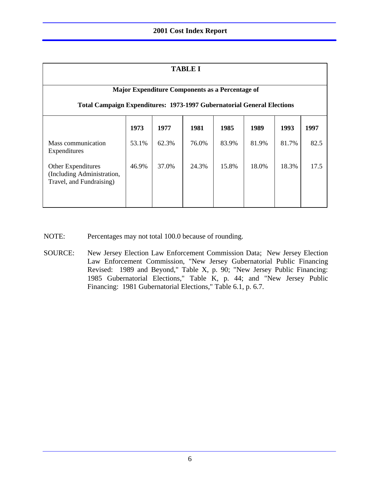| <b>TABLE I</b>                                                                                                                   |       |       |       |       |       |       |      |
|----------------------------------------------------------------------------------------------------------------------------------|-------|-------|-------|-------|-------|-------|------|
| Major Expenditure Components as a Percentage of<br><b>Total Campaign Expenditures: 1973-1997 Gubernatorial General Elections</b> |       |       |       |       |       |       |      |
|                                                                                                                                  | 1973  | 1977  | 1981  | 1985  | 1989  | 1993  | 1997 |
| Mass communication<br>Expenditures                                                                                               | 53.1% | 62.3% | 76.0% | 83.9% | 81.9% | 81.7% | 82.5 |
| Other Expenditures<br>(Including Administration,<br>Travel, and Fundraising)                                                     | 46.9% | 37.0% | 24.3% | 15.8% | 18.0% | 18.3% | 17.5 |

- NOTE: Percentages may not total 100.0 because of rounding.
- SOURCE: New Jersey Election Law Enforcement Commission Data; New Jersey Election Law Enforcement Commission, "New Jersey Gubernatorial Public Financing Revised: 1989 and Beyond," Table X, p. 90; "New Jersey Public Financing: 1985 Gubernatorial Elections," Table K, p. 44; and "New Jersey Public Financing: 1981 Gubernatorial Elections," Table 6.1, p. 6.7.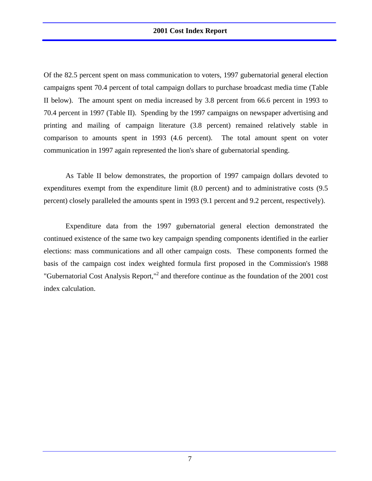Of the 82.5 percent spent on mass communication to voters, 1997 gubernatorial general election campaigns spent 70.4 percent of total campaign dollars to purchase broadcast media time (Table II below). The amount spent on media increased by 3.8 percent from 66.6 percent in 1993 to 70.4 percent in 1997 (Table II). Spending by the 1997 campaigns on newspaper advertising and printing and mailing of campaign literature (3.8 percent) remained relatively stable in comparison to amounts spent in 1993 (4.6 percent). The total amount spent on voter communication in 1997 again represented the lion's share of gubernatorial spending.

As Table II below demonstrates, the proportion of 1997 campaign dollars devoted to expenditures exempt from the expenditure limit (8.0 percent) and to administrative costs (9.5 percent) closely paralleled the amounts spent in 1993 (9.1 percent and 9.2 percent, respectively).

Expenditure data from the 1997 gubernatorial general election demonstrated the continued existence of the same two key campaign spending components identified in the earlier elections: mass communications and all other campaign costs. These components formed the basis of the campaign cost index weighted formula first proposed in the Commission's 1988 "Gubernatorial Cost Analysis Report,"<sup>2</sup> and therefore continue as the foundation of the 2001 cost index calculation.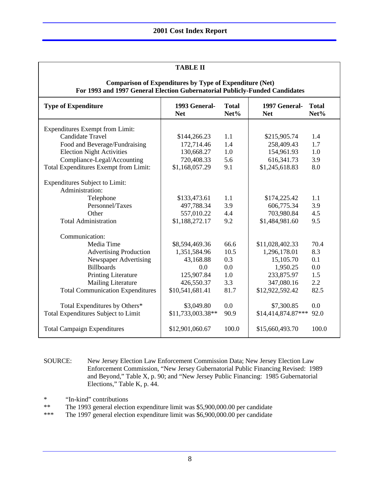| <b>TABLE II</b>                                                                                                                               |                             |                      |                             |                      |  |  |
|-----------------------------------------------------------------------------------------------------------------------------------------------|-----------------------------|----------------------|-----------------------------|----------------------|--|--|
| <b>Comparison of Expenditures by Type of Expenditure (Net)</b><br>For 1993 and 1997 General Election Gubernatorial Publicly-Funded Candidates |                             |                      |                             |                      |  |  |
| <b>Type of Expenditure</b>                                                                                                                    | 1993 General-<br><b>Net</b> | <b>Total</b><br>Net% | 1997 General-<br><b>Net</b> | <b>Total</b><br>Net% |  |  |
| <b>Expenditures Exempt from Limit:</b>                                                                                                        |                             |                      |                             |                      |  |  |
| <b>Candidate Travel</b>                                                                                                                       | \$144,266.23                | 1.1                  | \$215,905.74                | 1.4                  |  |  |
| Food and Beverage/Fundraising                                                                                                                 | 172,714.46                  | 1.4                  | 258,409.43                  | 1.7                  |  |  |
| <b>Election Night Activities</b>                                                                                                              | 130,668.27                  | 1.0                  | 154,961.93                  | 1.0                  |  |  |
| Compliance-Legal/Accounting                                                                                                                   | 720,408.33                  | 5.6                  | 616, 341. 73                | 3.9                  |  |  |
| Total Expenditures Exempt from Limit:                                                                                                         | \$1,168,057.29              | 9.1                  | \$1,245,618.83              | 8.0                  |  |  |
| <b>Expenditures Subject to Limit:</b><br>Administration:                                                                                      |                             |                      |                             |                      |  |  |
| Telephone                                                                                                                                     | \$133,473.61                | 1.1                  | \$174,225.42                | 1.1                  |  |  |
| Personnel/Taxes                                                                                                                               | 497,788.34                  | 3.9                  | 606,775.34                  | 3.9                  |  |  |
| Other                                                                                                                                         | 557,010.22                  | 4.4                  | 703,980.84                  | 4.5                  |  |  |
| <b>Total Administration</b>                                                                                                                   | \$1,188,272.17              | 9.2                  | \$1,484,981.60              | 9.5                  |  |  |
| Communication:                                                                                                                                |                             |                      |                             |                      |  |  |
| Media Time                                                                                                                                    | \$8,594,469.36              | 66.6                 | \$11,028,402.33             | 70.4                 |  |  |
| <b>Advertising Production</b>                                                                                                                 | 1,351,584.96                | 10.5                 | 1,296,178.01                | 8.3                  |  |  |
| Newspaper Advertising                                                                                                                         | 43,168.88                   | 0.3                  | 15,105.70                   | 0.1                  |  |  |
| <b>Billboards</b>                                                                                                                             | 0.0                         | 0.0                  | 1,950.25                    | 0.0                  |  |  |
| <b>Printing Literature</b>                                                                                                                    | 125,907.84                  | 1.0                  | 233,875.97                  | 1.5                  |  |  |
| <b>Mailing Literature</b>                                                                                                                     | 426,550.37                  | 3.3                  | 347,080.16                  | 2.2                  |  |  |
| <b>Total Communication Expenditures</b>                                                                                                       | \$10,541,681.41             | 81.7                 | \$12,922,592.42             | 82.5                 |  |  |
| Total Expenditures by Others*                                                                                                                 | \$3,049.80                  | 0.0                  | \$7,300.85                  | 0.0                  |  |  |
| Total Expenditures Subject to Limit                                                                                                           | \$11,733,003.38**           | 90.9                 | \$14,414,874.87***          | 92.0                 |  |  |
| <b>Total Campaign Expenditures</b>                                                                                                            | \$12,901,060.67             | 100.0                | \$15,660,493.70             | 100.0                |  |  |

SOURCE: New Jersey Election Law Enforcement Commission Data; New Jersey Election Law Enforcement Commission, "New Jersey Gubernatorial Public Financing Revised: 1989 and Beyond," Table X, p. 90; and "New Jersey Public Financing: 1985 Gubernatorial Elections," Table K, p. 44.

\* "In-kind" contributions

\*\* The 1993 general election expenditure limit was \$5,900,000.00 per candidate

\*\*\* The 1997 general election expenditure limit was \$6,900,000.00 per candidate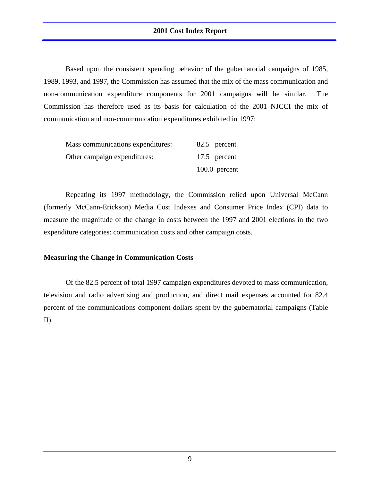Based upon the consistent spending behavior of the gubernatorial campaigns of 1985, 1989, 1993, and 1997, the Commission has assumed that the mix of the mass communication and non-communication expenditure components for 2001 campaigns will be similar. The Commission has therefore used as its basis for calculation of the 2001 NJCCI the mix of communication and non-communication expenditures exhibited in 1997:

| Mass communications expenditures: | 82.5 percent    |
|-----------------------------------|-----------------|
| Other campaign expenditures:      | 17.5 percent    |
|                                   | $100.0$ percent |

Repeating its 1997 methodology, the Commission relied upon Universal McCann (formerly McCann-Erickson) Media Cost Indexes and Consumer Price Index (CPI) data to measure the magnitude of the change in costs between the 1997 and 2001 elections in the two expenditure categories: communication costs and other campaign costs.

#### **Measuring the Change in Communication Costs**

Of the 82.5 percent of total 1997 campaign expenditures devoted to mass communication, television and radio advertising and production, and direct mail expenses accounted for 82.4 percent of the communications component dollars spent by the gubernatorial campaigns (Table II).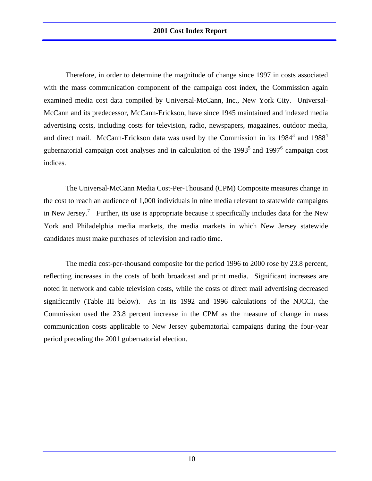Therefore, in order to determine the magnitude of change since 1997 in costs associated with the mass communication component of the campaign cost index, the Commission again examined media cost data compiled by Universal-McCann, Inc., New York City. Universal-McCann and its predecessor, McCann-Erickson, have since 1945 maintained and indexed media advertising costs, including costs for television, radio, newspapers, magazines, outdoor media, and direct mail. McCann-Erickson data was used by the Commission in its  $1984<sup>3</sup>$  and  $1988<sup>4</sup>$ gubernatorial campaign cost analyses and in calculation of the  $1993<sup>5</sup>$  and  $1997<sup>6</sup>$  campaign cost indices.

The Universal-McCann Media Cost-Per-Thousand (CPM) Composite measures change in the cost to reach an audience of 1,000 individuals in nine media relevant to statewide campaigns in New Jersey.<sup>7</sup> Further, its use is appropriate because it specifically includes data for the New York and Philadelphia media markets, the media markets in which New Jersey statewide candidates must make purchases of television and radio time.

The media cost-per-thousand composite for the period 1996 to 2000 rose by 23.8 percent, reflecting increases in the costs of both broadcast and print media. Significant increases are noted in network and cable television costs, while the costs of direct mail advertising decreased significantly (Table III below). As in its 1992 and 1996 calculations of the NJCCI, the Commission used the 23.8 percent increase in the CPM as the measure of change in mass communication costs applicable to New Jersey gubernatorial campaigns during the four-year period preceding the 2001 gubernatorial election.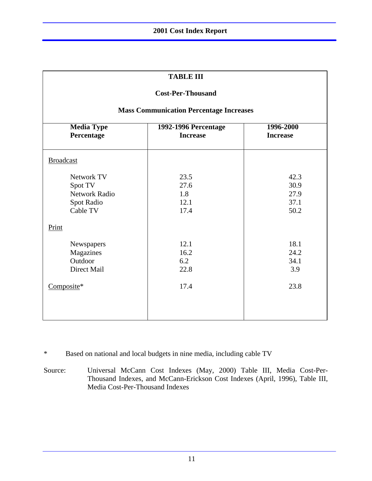| тарге пі                                                                |                                                |                                      |  |  |  |
|-------------------------------------------------------------------------|------------------------------------------------|--------------------------------------|--|--|--|
| <b>Cost-Per-Thousand</b>                                                |                                                |                                      |  |  |  |
|                                                                         | <b>Mass Communication Percentage Increases</b> |                                      |  |  |  |
| <b>Media Type</b><br>Percentage                                         | <b>1992-1996 Percentage</b><br><b>Increase</b> | 1996-2000<br><b>Increase</b>         |  |  |  |
| <b>Broadcast</b>                                                        |                                                |                                      |  |  |  |
| Network TV<br>Spot TV<br><b>Network Radio</b><br>Spot Radio<br>Cable TV | 23.5<br>27.6<br>1.8<br>12.1<br>17.4            | 42.3<br>30.9<br>27.9<br>37.1<br>50.2 |  |  |  |
| Print                                                                   |                                                |                                      |  |  |  |
| Newspapers<br>Magazines<br>Outdoor<br>Direct Mail                       | 12.1<br>16.2<br>6.2<br>22.8                    | 18.1<br>24.2<br>34.1<br>3.9          |  |  |  |
| Composite*                                                              | 17.4                                           | 23.8                                 |  |  |  |

**TABLE III**

Г

\* Based on national and local budgets in nine media, including cable TV

Source: Universal McCann Cost Indexes (May, 2000) Table III, Media Cost-Per-Thousand Indexes, and McCann-Erickson Cost Indexes (April, 1996), Table III, Media Cost-Per-Thousand Indexes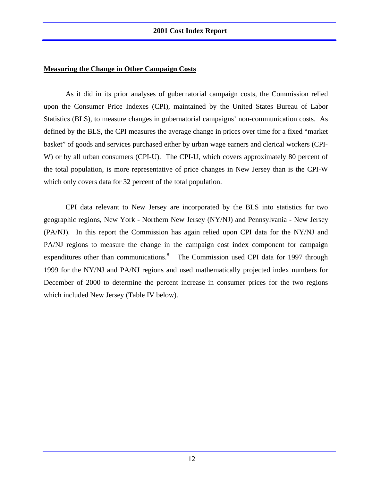#### **Measuring the Change in Other Campaign Costs**

As it did in its prior analyses of gubernatorial campaign costs, the Commission relied upon the Consumer Price Indexes (CPI), maintained by the United States Bureau of Labor Statistics (BLS), to measure changes in gubernatorial campaigns' non-communication costs. As defined by the BLS, the CPI measures the average change in prices over time for a fixed "market basket" of goods and services purchased either by urban wage earners and clerical workers (CPI-W) or by all urban consumers (CPI-U). The CPI-U, which covers approximately 80 percent of the total population, is more representative of price changes in New Jersey than is the CPI-W which only covers data for 32 percent of the total population.

CPI data relevant to New Jersey are incorporated by the BLS into statistics for two geographic regions, New York - Northern New Jersey (NY/NJ) and Pennsylvania - New Jersey (PA/NJ). In this report the Commission has again relied upon CPI data for the NY/NJ and PA/NJ regions to measure the change in the campaign cost index component for campaign expenditures other than communications.<sup>8</sup> The Commission used CPI data for 1997 through 1999 for the NY/NJ and PA/NJ regions and used mathematically projected index numbers for December of 2000 to determine the percent increase in consumer prices for the two regions which included New Jersey (Table IV below).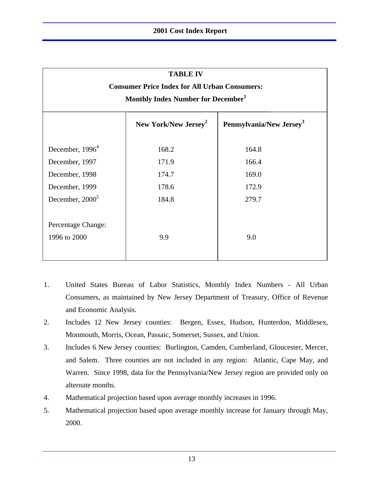| <b>TABLE IV</b>                                                          |                                                      |       |  |  |  |  |  |
|--------------------------------------------------------------------------|------------------------------------------------------|-------|--|--|--|--|--|
|                                                                          | <b>Consumer Price Index for All Urban Consumers:</b> |       |  |  |  |  |  |
|                                                                          | Monthly Index Number for December <sup>1</sup>       |       |  |  |  |  |  |
| Pennsylvania/New Jersey <sup>3</sup><br>New York/New Jersey <sup>2</sup> |                                                      |       |  |  |  |  |  |
| December, $19964$                                                        | 168.2                                                | 164.8 |  |  |  |  |  |
| December, 1997                                                           | 171.9                                                | 166.4 |  |  |  |  |  |
| December, 1998                                                           | 174.7                                                | 169.0 |  |  |  |  |  |
| December, 1999                                                           | 178.6                                                | 172.9 |  |  |  |  |  |
| December, 2000 <sup>5</sup>                                              | 184.8                                                | 279.7 |  |  |  |  |  |
| Percentage Change:<br>1996 to 2000                                       | 9.9                                                  | 9.0   |  |  |  |  |  |

- 1. United States Bureau of Labor Statistics, Monthly Index Numbers All Urban Consumers, as maintained by New Jersey Department of Treasury, Office of Revenue and Economic Analysis.
- 2. Includes 12 New Jersey counties: Bergen, Essex, Hudson, Hunterdon, Middlesex, Monmouth, Morris, Ocean, Passaic, Somerset, Sussex, and Union.
- 3. Includes 6 New Jersey counties: Burlington, Camden, Cumberland, Gloucester, Mercer, and Salem. Three counties are not included in any region: Atlantic, Cape May, and Warren. Since 1998, data for the Pennsylvania/New Jersey region are provided only on alternate months.
- 4. Mathematical projection based upon average monthly increases in 1996.
- 5. Mathematical projection based upon average monthly increase for January through May, 2000.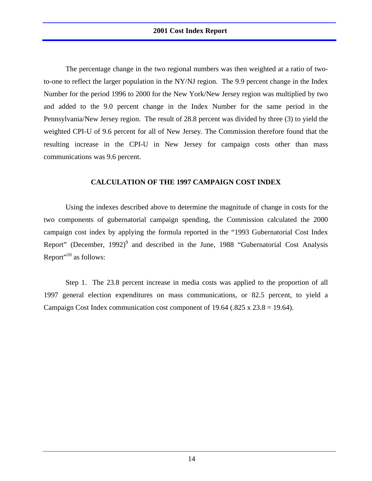The percentage change in the two regional numbers was then weighted at a ratio of twoto-one to reflect the larger population in the NY/NJ region. The 9.9 percent change in the Index Number for the period 1996 to 2000 for the New York/New Jersey region was multiplied by two and added to the 9.0 percent change in the Index Number for the same period in the Pennsylvania/New Jersey region. The result of 28.8 percent was divided by three (3) to yield the weighted CPI-U of 9.6 percent for all of New Jersey. The Commission therefore found that the resulting increase in the CPI-U in New Jersey for campaign costs other than mass communications was 9.6 percent.

#### **CALCULATION OF THE 1997 CAMPAIGN COST INDEX**

Using the indexes described above to determine the magnitude of change in costs for the two components of gubernatorial campaign spending, the Commission calculated the 2000 campaign cost index by applying the formula reported in the "1993 Gubernatorial Cost Index Report" (December, 1992)<sup>9</sup> and described in the June, 1988 "Gubernatorial Cost Analysis Report"<sup>10</sup> as follows:

Step 1. The 23.8 percent increase in media costs was applied to the proportion of all 1997 general election expenditures on mass communications, or 82.5 percent, to yield a Campaign Cost Index communication cost component of  $19.64$  (.825 x 23.8 = 19.64).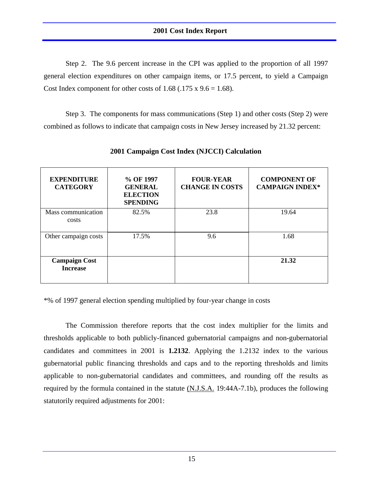Step 2. The 9.6 percent increase in the CPI was applied to the proportion of all 1997 general election expenditures on other campaign items, or 17.5 percent, to yield a Campaign Cost Index component for other costs of 1.68 (.175 x  $9.6 = 1.68$ ).

Step 3. The components for mass communications (Step 1) and other costs (Step 2) were combined as follows to indicate that campaign costs in New Jersey increased by 21.32 percent:

| <b>EXPENDITURE</b><br><b>CATEGORY</b>   | % OF 1997<br><b>GENERAL</b><br><b>ELECTION</b><br><b>SPENDING</b> | <b>FOUR-YEAR</b><br><b>CHANGE IN COSTS</b> | <b>COMPONENT OF</b><br><b>CAMPAIGN INDEX*</b> |
|-----------------------------------------|-------------------------------------------------------------------|--------------------------------------------|-----------------------------------------------|
| Mass communication<br>costs             | 82.5%                                                             | 23.8                                       | 19.64                                         |
| Other campaign costs                    | 17.5%                                                             | 9.6                                        | 1.68                                          |
| <b>Campaign Cost</b><br><b>Increase</b> |                                                                   |                                            | 21.32                                         |

**2001 Campaign Cost Index (NJCCI) Calculation**

\*% of 1997 general election spending multiplied by four-year change in costs

The Commission therefore reports that the cost index multiplier for the limits and thresholds applicable to both publicly-financed gubernatorial campaigns and non-gubernatorial candidates and committees in 2001 is **1.2132**. Applying the 1.2132 index to the various gubernatorial public financing thresholds and caps and to the reporting thresholds and limits applicable to non-gubernatorial candidates and committees, and rounding off the results as required by the formula contained in the statute  $(N.J.S.A. 19:44A-7.1b)$ , produces the following statutorily required adjustments for 2001: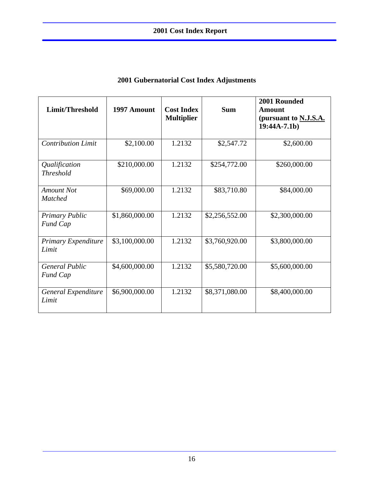| Limit/Threshold                          | 1997 Amount    | <b>Cost Index</b><br><b>Multiplier</b> | <b>Sum</b>     | 2001 Rounded<br>Amount<br>(pursuant to N.J.S.A.<br>$19:44A-7.1b)$ |
|------------------------------------------|----------------|----------------------------------------|----------------|-------------------------------------------------------------------|
| <b>Contribution Limit</b>                | \$2,100.00     | 1.2132                                 | \$2,547.72     | \$2,600.00                                                        |
| Qualification<br><b>Threshold</b>        | \$210,000.00   | 1.2132                                 | \$254,772.00   | \$260,000.00                                                      |
| <b>Amount Not</b><br><b>Matched</b>      | \$69,000.00    | 1.2132                                 | \$83,710.80    | \$84,000.00                                                       |
| <b>Primary Public</b><br><b>Fund Cap</b> | \$1,860,000.00 | 1.2132                                 | \$2,256,552.00 | \$2,300,000.00                                                    |
| Primary Expenditure<br>Limit             | \$3,100,000.00 | 1.2132                                 | \$3,760,920.00 | \$3,800,000.00                                                    |
| <b>General Public</b><br><b>Fund Cap</b> | \$4,600,000.00 | 1.2132                                 | \$5,580,720.00 | \$5,600,000.00                                                    |
| General Expenditure<br>Limit             | \$6,900,000.00 | 1.2132                                 | \$8,371,080.00 | \$8,400,000.00                                                    |

#### **2001 Gubernatorial Cost Index Adjustments**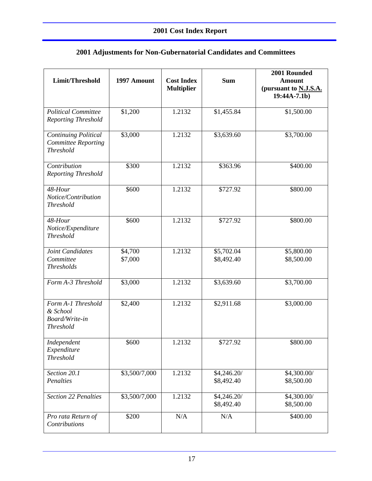| 2001 Adjustments for Non-Gubernatorial Candidates and Committees |  |  |  |
|------------------------------------------------------------------|--|--|--|
|------------------------------------------------------------------|--|--|--|

| Limit/Threshold                                                               | 1997 Amount        | <b>Cost Index</b><br><b>Multiplier</b> | <b>Sum</b>                | 2001 Rounded<br><b>Amount</b><br>(pursuant to N.J.S.A.<br>$19:44A-7.1b)$ |
|-------------------------------------------------------------------------------|--------------------|----------------------------------------|---------------------------|--------------------------------------------------------------------------|
| <b>Political Committee</b><br><b>Reporting Threshold</b>                      | \$1,200            | 1.2132                                 | \$1,455.84                | \$1,500.00                                                               |
| <b>Continuing Political</b><br><b>Committee Reporting</b><br><b>Threshold</b> | \$3,000            | 1.2132                                 | \$3,639.60                | \$3,700.00                                                               |
| Contribution<br><b>Reporting Threshold</b>                                    | \$300              | 1.2132                                 | \$363.96                  | \$400.00                                                                 |
| 48-Hour<br>Notice/Contribution<br><b>Threshold</b>                            | \$600              | 1.2132                                 | \$727.92                  | \$800.00                                                                 |
| 48-Hour<br>Notice/Expenditure<br><b>Threshold</b>                             | \$600              | 1.2132                                 | \$727.92                  | $\frac{1}{8800.00}$                                                      |
| Joint Candidates<br>Committee<br><b>Thresholds</b>                            | \$4,700<br>\$7,000 | 1.2132                                 | \$5,702.04<br>\$8,492.40  | \$5,800.00<br>\$8,500.00                                                 |
| Form A-3 Threshold                                                            | \$3,000            | 1.2132                                 | \$3,639.60                | \$3,700.00                                                               |
| Form A-1 Threshold<br>& School<br>Board/Write-in<br><b>Threshold</b>          | \$2,400            | 1.2132                                 | \$2,911.68                | \$3,000.00                                                               |
| Independent<br>Expenditure<br><b>Threshold</b>                                | \$600              | 1.2132                                 | \$727.92                  | \$800.00                                                                 |
| Section 20.1<br>Penalties                                                     | \$3,500/7,000      | 1.2132                                 | \$4,246.20/<br>\$8,492.40 | \$4,300.00/<br>\$8,500.00                                                |
| <b>Section 22 Penalties</b>                                                   | \$3,500/7,000      | 1.2132                                 | \$4,246.20/<br>\$8,492.40 | \$4,300.00/<br>\$8,500.00                                                |
| Pro rata Return of<br>Contributions                                           | \$200              | $\rm N/A$                              | N/A                       | \$400.00                                                                 |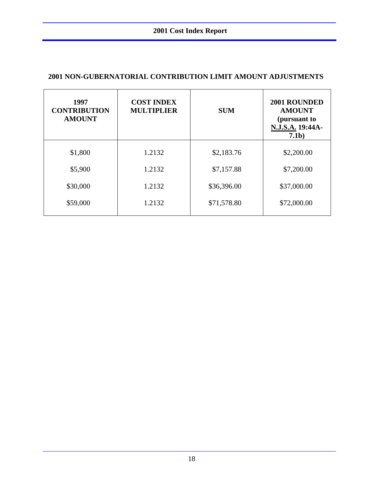| 1997<br><b>CONTRIBUTION</b><br><b>AMOUNT</b> | <b>COST INDEX</b><br><b>MULTIPLIER</b> | <b>SUM</b>  | 2001 ROUNDED<br><b>AMOUNT</b><br>(pursuant to<br>N.J.S.A. 19:44A-<br>7.1 <sub>b</sub> |
|----------------------------------------------|----------------------------------------|-------------|---------------------------------------------------------------------------------------|
| \$1,800                                      | 1.2132                                 | \$2,183.76  | \$2,200.00                                                                            |
| \$5,900                                      | 1.2132                                 | \$7,157.88  | \$7,200.00                                                                            |
| \$30,000                                     | 1.2132                                 | \$36,396.00 | \$37,000.00                                                                           |
| \$59,000                                     | 1.2132                                 | \$71,578.80 | \$72,000.00                                                                           |
|                                              |                                        |             |                                                                                       |

#### **2001 NON-GUBERNATORIAL CONTRIBUTION LIMIT AMOUNT ADJUSTMENTS**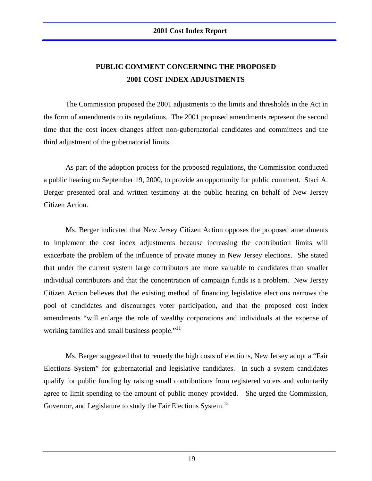#### **PUBLIC COMMENT CONCERNING THE PROPOSED 2001 COST INDEX ADJUSTMENTS**

The Commission proposed the 2001 adjustments to the limits and thresholds in the Act in the form of amendments to its regulations. The 2001 proposed amendments represent the second time that the cost index changes affect non-gubernatorial candidates and committees and the third adjustment of the gubernatorial limits.

As part of the adoption process for the proposed regulations, the Commission conducted a public hearing on September 19, 2000, to provide an opportunity for public comment. Staci A. Berger presented oral and written testimony at the public hearing on behalf of New Jersey Citizen Action.

Ms. Berger indicated that New Jersey Citizen Action opposes the proposed amendments to implement the cost index adjustments because increasing the contribution limits will exacerbate the problem of the influence of private money in New Jersey elections. She stated that under the current system large contributors are more valuable to candidates than smaller individual contributors and that the concentration of campaign funds is a problem. New Jersey Citizen Action believes that the existing method of financing legislative elections narrows the pool of candidates and discourages voter participation, and that the proposed cost index amendments "will enlarge the role of wealthy corporations and individuals at the expense of working families and small business people."<sup>11</sup>

Ms. Berger suggested that to remedy the high costs of elections, New Jersey adopt a "Fair Elections System" for gubernatorial and legislative candidates. In such a system candidates qualify for public funding by raising small contributions from registered voters and voluntarily agree to limit spending to the amount of public money provided. She urged the Commission, Governor, and Legislature to study the Fair Elections System.<sup>12</sup>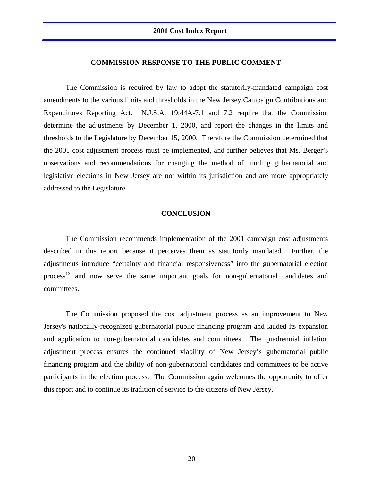#### **COMMISSION RESPONSE TO THE PUBLIC COMMENT**

The Commission is required by law to adopt the statutorily-mandated campaign cost amendments to the various limits and thresholds in the New Jersey Campaign Contributions and Expenditures Reporting Act. N.J.S.A. 19:44A-7.1 and 7.2 require that the Commission determine the adjustments by December 1, 2000, and report the changes in the limits and thresholds to the Legislature by December 15, 2000. Therefore the Commission determined that the 2001 cost adjustment process must be implemented, and further believes that Ms. Berger's observations and recommendations for changing the method of funding gubernatorial and legislative elections in New Jersey are not within its jurisdiction and are more appropriately addressed to the Legislature.

#### **CONCLUSION**

The Commission recommends implementation of the 2001 campaign cost adjustments described in this report because it perceives them as statutorily mandated. Further, the adjustments introduce "certainty and financial responsiveness" into the gubernatorial election process<sup>13</sup> and now serve the same important goals for non-gubernatorial candidates and committees.

The Commission proposed the cost adjustment process as an improvement to New Jersey's nationally-recognized gubernatorial public financing program and lauded its expansion and application to non-gubernatorial candidates and committees. The quadrennial inflation adjustment process ensures the continued viability of New Jersey's gubernatorial public financing program and the ability of non-gubernatorial candidates and committees to be active participants in the election process. The Commission again welcomes the opportunity to offer this report and to continue its tradition of service to the citizens of New Jersey.